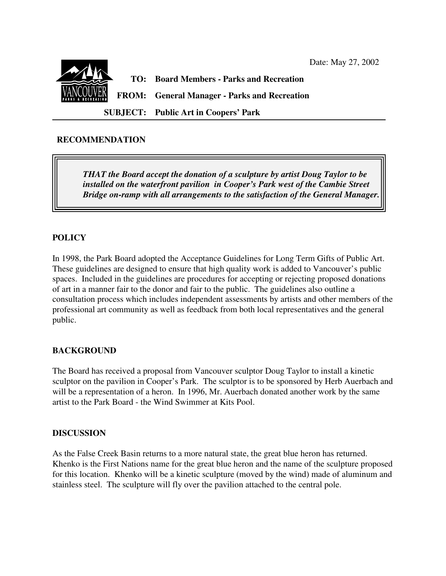

### **RECOMMENDATION**

*THAT the Board accept the donation of a sculpture by artist Doug Taylor to be installed on the waterfront pavilion in Cooper's Park west of the Cambie Street Bridge on-ramp with all arrangements to the satisfaction of the General Manager.*

## **POLICY**

In 1998, the Park Board adopted the Acceptance Guidelines for Long Term Gifts of Public Art. These guidelines are designed to ensure that high quality work is added to Vancouver's public spaces. Included in the guidelines are procedures for accepting or rejecting proposed donations of art in a manner fair to the donor and fair to the public. The guidelines also outline a consultation process which includes independent assessments by artists and other members of the professional art community as well as feedback from both local representatives and the general public.

### **BACKGROUND**

The Board has received a proposal from Vancouver sculptor Doug Taylor to install a kinetic sculptor on the pavilion in Cooper's Park. The sculptor is to be sponsored by Herb Auerbach and will be a representation of a heron. In 1996, Mr. Auerbach donated another work by the same artist to the Park Board - the Wind Swimmer at Kits Pool.

### **DISCUSSION**

As the False Creek Basin returns to a more natural state, the great blue heron has returned. Khenko is the First Nations name for the great blue heron and the name of the sculpture proposed for this location. Khenko will be a kinetic sculpture (moved by the wind) made of aluminum and stainless steel. The sculpture will fly over the pavilion attached to the central pole.